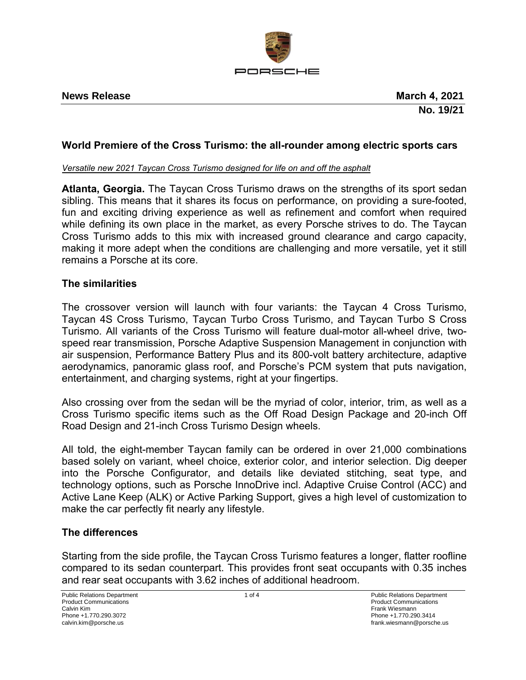

## **News Release March 4, 2021**

# **World Premiere of the Cross Turismo: the all-rounder among electric sports cars**

#### *Versatile new 2021 Taycan Cross Turismo designed for life on and off the asphalt*

**Atlanta, Georgia.** The Taycan Cross Turismo draws on the strengths of its sport sedan sibling. This means that it shares its focus on performance, on providing a sure-footed, fun and exciting driving experience as well as refinement and comfort when required while defining its own place in the market, as every Porsche strives to do. The Taycan Cross Turismo adds to this mix with increased ground clearance and cargo capacity, making it more adept when the conditions are challenging and more versatile, yet it still remains a Porsche at its core.

## **The similarities**

The crossover version will launch with four variants: the Taycan 4 Cross Turismo, Taycan 4S Cross Turismo, Taycan Turbo Cross Turismo, and Taycan Turbo S Cross Turismo. All variants of the Cross Turismo will feature dual-motor all-wheel drive, twospeed rear transmission, Porsche Adaptive Suspension Management in conjunction with air suspension, Performance Battery Plus and its 800-volt battery architecture, adaptive aerodynamics, panoramic glass roof, and Porsche's PCM system that puts navigation, entertainment, and charging systems, right at your fingertips.

Also crossing over from the sedan will be the myriad of color, interior, trim, as well as a Cross Turismo specific items such as the Off Road Design Package and 20-inch Off Road Design and 21-inch Cross Turismo Design wheels.

All told, the eight-member Taycan family can be ordered in over 21,000 combinations based solely on variant, wheel choice, exterior color, and interior selection. Dig deeper into the Porsche Configurator, and details like deviated stitching, seat type, and technology options, such as Porsche InnoDrive incl. Adaptive Cruise Control (ACC) and Active Lane Keep (ALK) or Active Parking Support, gives a high level of customization to make the car perfectly fit nearly any lifestyle.

## **The differences**

Starting from the side profile, the Taycan Cross Turismo features a longer, flatter roofline compared to its sedan counterpart. This provides front seat occupants with 0.35 inches and rear seat occupants with 3.62 inches of additional headroom.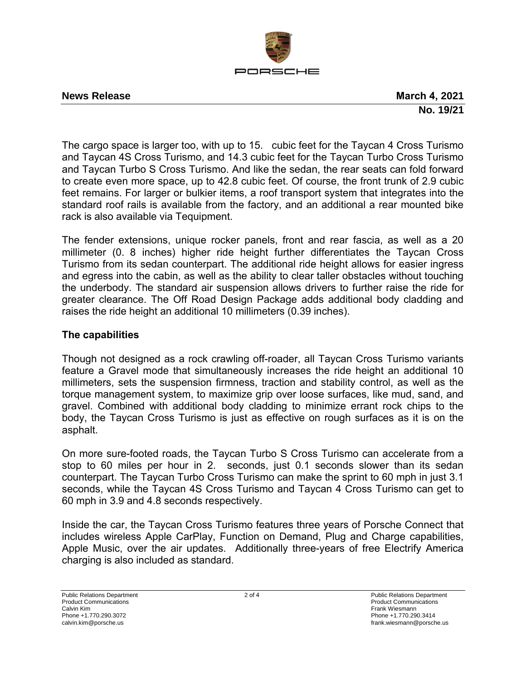

### **News Release March 4, 2021**

**No. 19/21** 

The cargo space is larger too, with up to 15. cubic feet for the Taycan 4 Cross Turismo and Taycan 4S Cross Turismo, and 14.3 cubic feet for the Taycan Turbo Cross Turismo and Taycan Turbo S Cross Turismo. And like the sedan, the rear seats can fold forward to create even more space, up to 42.8 cubic feet. Of course, the front trunk of 2.9 cubic feet remains. For larger or bulkier items, a roof transport system that integrates into the standard roof rails is available from the factory, and an additional a rear mounted bike rack is also available via Tequipment.

The fender extensions, unique rocker panels, front and rear fascia, as well as a 20 millimeter (0.78 inches) higher ride height further differentiates the Taycan Cross Turismo from its sedan counterpart. The additional ride height allows for easier ingress and egress into the cabin, as well as the ability to clear taller obstacles without touching the underbody. The standard air suspension allows drivers to further raise the ride for greater clearance. The Off Road Design Package adds additional body cladding and raises the ride height an additional 10 millimeters (0.39 inches).

# **The capabilities**

Though not designed as a rock crawling off-roader, all Taycan Cross Turismo variants feature a Gravel mode that simultaneously increases the ride height an additional 10 millimeters, sets the suspension firmness, traction and stability control, as well as the torque management system, to maximize grip over loose surfaces, like mud, sand, and gravel. Combined with additional body cladding to minimize errant rock chips to the body, the Taycan Cross Turismo is just as effective on rough surfaces as it is on the asphalt.

On more sure-footed roads, the Taycan Turbo S Cross Turismo can accelerate from a stop to 60 miles per hour in 2. seconds, just 0.1 seconds slower than its sedan counterpart. The Taycan Turbo Cross Turismo can make the sprint to 60 mph in just 3.1 seconds, while the Taycan 4S Cross Turismo and Taycan 4 Cross Turismo can get to 60 mph in 3.9 and 4.8 seconds respectively.

Inside the car, the Taycan Cross Turismo features three years of Porsche Connect that includes wireless Apple CarPlay, Function on Demand, Plug and Charge capabilities, Apple Music, over the air updates. Additionally three-years of free Electrify America charging is also included as standard.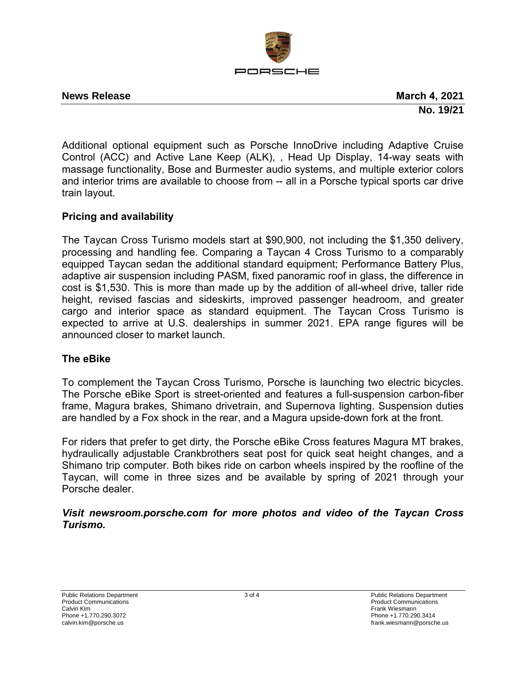

**News Release March 4, 2021 No. 19/21**

Additional optional equipment such as Porsche InnoDrive including Adaptive Cruise Control (ACC) and Active Lane Keep (ALK), , Head Up Display, 14-way seats with massage functionality, Bose and Burmester audio systems, and multiple exterior colors and interior trims are available to choose from -- all in a Porsche typical sports car drive train layout.

# **Pricing and availability**

The Taycan Cross Turismo models start at \$90,900, not including the \$1,350 delivery, processing and handling fee. Comparing a Taycan 4 Cross Turismo to a comparably equipped Taycan sedan the additional standard equipment; Performance Battery Plus, adaptive air suspension including PASM, fixed panoramic roof in glass, the difference in cost is \$1,530. This is more than made up by the addition of all-wheel drive, taller ride height, revised fascias and sideskirts, improved passenger headroom, and greater cargo and interior space as standard equipment. The Taycan Cross Turismo is expected to arrive at U.S. dealerships in summer 2021. EPA range figures will be announced closer to market launch.

# **The eBike**

To complement the Taycan Cross Turismo, Porsche is launching two electric bicycles. The Porsche eBike Sport is street-oriented and features a full-suspension carbon-fiber frame, Magura brakes, Shimano drivetrain, and Supernova lighting. Suspension duties are handled by a Fox shock in the rear, and a Magura upside-down fork at the front.

For riders that prefer to get dirty, the Porsche eBike Cross features Magura MT brakes, hydraulically adjustable Crankbrothers seat post for quick seat height changes, and a Shimano trip computer. Both bikes ride on carbon wheels inspired by the roofline of the Taycan, will come in three sizes and be available by spring of 2021 through your Porsche dealer.

*Visit newsroom.porsche.com for more photos and video of the Taycan Cross Turismo.*